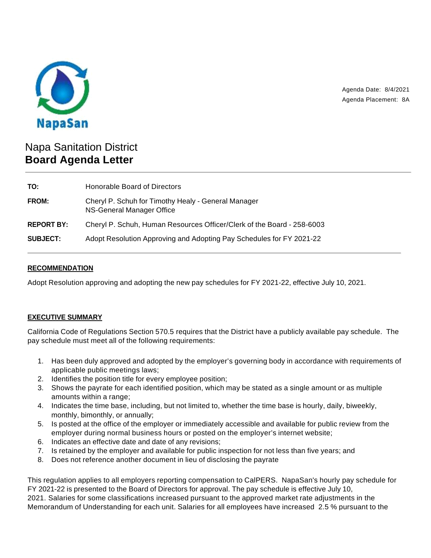

Agenda Date: 8/4/2021 Agenda Placement: 8A

# Napa Sanitation District **Board Agenda Letter**

| TO:               | Honorable Board of Directors                                                     |
|-------------------|----------------------------------------------------------------------------------|
| <b>FROM:</b>      | Cheryl P. Schuh for Timothy Healy - General Manager<br>NS-General Manager Office |
| <b>REPORT BY:</b> | Cheryl P. Schuh, Human Resources Officer/Clerk of the Board - 258-6003           |
| <b>SUBJECT:</b>   | Adopt Resolution Approving and Adopting Pay Schedules for FY 2021-22             |

## **RECOMMENDATION**

Adopt Resolution approving and adopting the new pay schedules for FY 2021-22, effective July 10, 2021.

# **EXECUTIVE SUMMARY**

California Code of Regulations Section 570.5 requires that the District have a publicly available pay schedule. The pay schedule must meet all of the following requirements:

- 1. Has been duly approved and adopted by the employer's governing body in accordance with requirements of applicable public meetings laws;
- 2. Identifies the position title for every employee position;
- 3. Shows the payrate for each identified position, which may be stated as a single amount or as multiple amounts within a range;
- 4. Indicates the time base, including, but not limited to, whether the time base is hourly, daily, biweekly, monthly, bimonthly, or annually;
- 5. Is posted at the office of the employer or immediately accessible and available for public review from the employer during normal business hours or posted on the employer's internet website;
- 6. Indicates an effective date and date of any revisions;
- 7. Is retained by the employer and available for public inspection for not less than five years; and
- 8. Does not reference another document in lieu of disclosing the payrate

This regulation applies to all employers reporting compensation to CalPERS. NapaSan's hourly pay schedule for FY 2021-22 is presented to the Board of Directors for approval. The pay schedule is effective July 10, 2021. Salaries for some classifications increased pursuant to the approved market rate adjustments in the Memorandum of Understanding for each unit. Salaries for all employees have increased 2.5 % pursuant to the